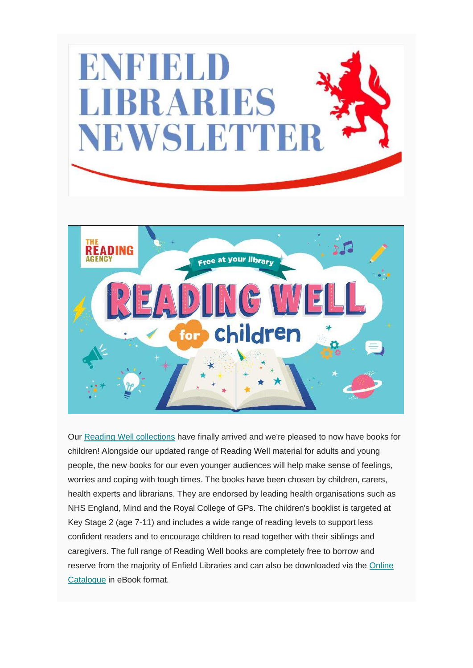

Our [Reading Well collections](https://reading-well.org.uk/books/books-on-prescription) have finally arrived and we're pleased to now have books for children! Alongside our updated range of Reading Well material for adults and young people, the new books for our even younger audiences will help make sense of feelings, worries and coping with tough times. The books have been chosen by children, carers, health experts and librarians. They are endorsed by leading health organisations such as NHS England, Mind and the Royal College of GPs. The children's booklist is targeted at Key Stage 2 (age 7-11) and includes a wide range of reading levels to support less confident readers and to encourage children to read together with their siblings and caregivers. The full range of Reading Well books are completely free to borrow and reserve from the majority of Enfield Libraries and can also be downloaded via the [Online](https://libraries.enfield.gov.uk/client/en_GB/enfield)  [Catalogue](https://libraries.enfield.gov.uk/client/en_GB/enfield) in eBook format.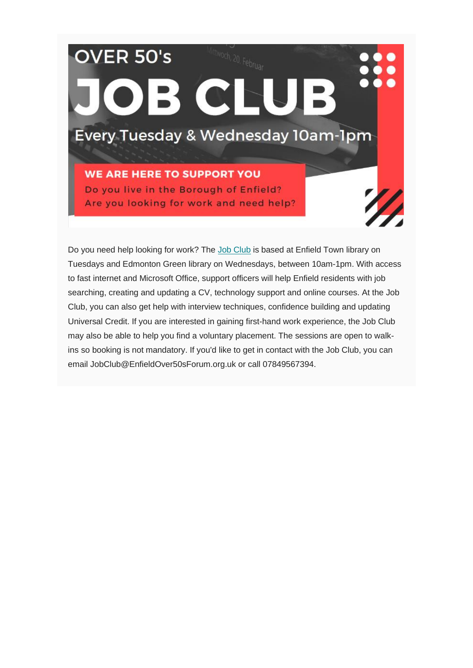## OVER 50's OB CLUB Every Tuesday & Wednesday 10am-1pm **WE ARE HERE TO SUPPORT YOU** Do you live in the Borough of Enfield? Are you looking for work and need help?

Do you need help looking for work? The [Job Club](https://www.instagram.com/enfieldjobclubs/?hl=en) is based at Enfield Town library on Tuesdays and Edmonton Green library on Wednesdays, between 10am-1pm. With access to fast internet and Microsoft Office, support officers will help Enfield residents with job searching, creating and updating a CV, technology support and online courses. At the Job Club, you can also get help with interview techniques, confidence building and updating Universal Credit. If you are interested in gaining first-hand work experience, the Job Club may also be able to help you find a voluntary placement. The sessions are open to walkins so booking is not mandatory. If you'd like to get in contact with the Job Club, you can email JobClub@EnfieldOver50sForum.org.uk or call 07849567394.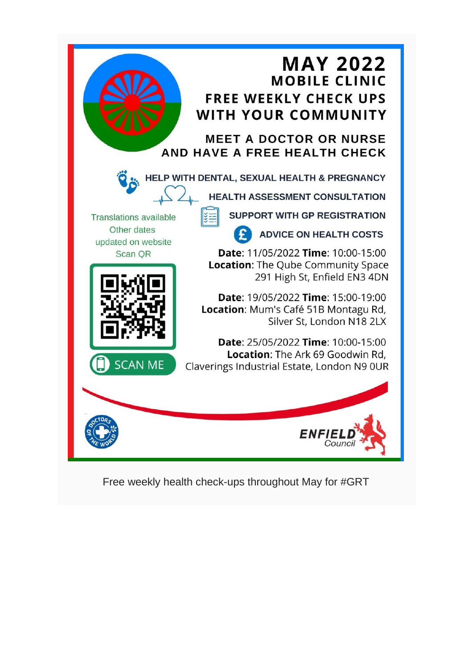

Free weekly health check-ups throughout May for #GRT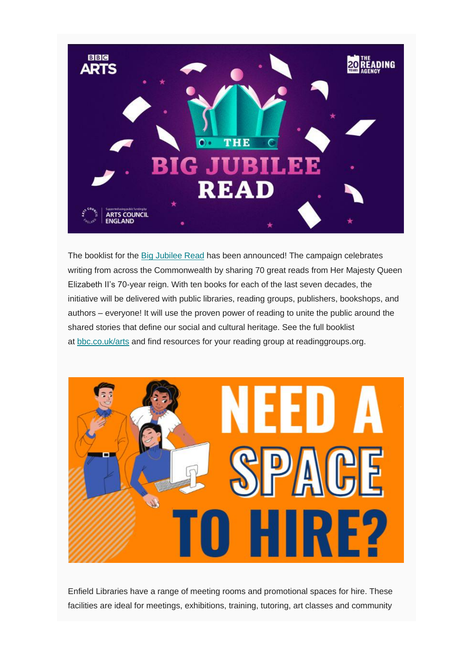

The booklist for the [Big Jubilee Read](https://readinggroups.org/big-jubilee-read) has been announced! The campaign celebrates writing from across the Commonwealth by sharing 70 great reads from Her Majesty Queen Elizabeth II's 70-year reign. With ten books for each of the last seven decades, the initiative will be delivered with public libraries, reading groups, publishers, bookshops, and authors – everyone! It will use the proven power of reading to unite the public around the shared stories that define our social and cultural heritage. See the full booklist at [bbc.co.uk/arts](https://www.bbc.co.uk/programmes/articles/2Ynpj933DJ2YG5nsMS6fn8k/a-literary-celebration-of-queen-elizabeth-iis-record-breaking-reign) and find resources for your reading group at readinggroups.org.



Enfield Libraries have a range of meeting rooms and promotional spaces for hire. These facilities are ideal for meetings, exhibitions, training, tutoring, art classes and community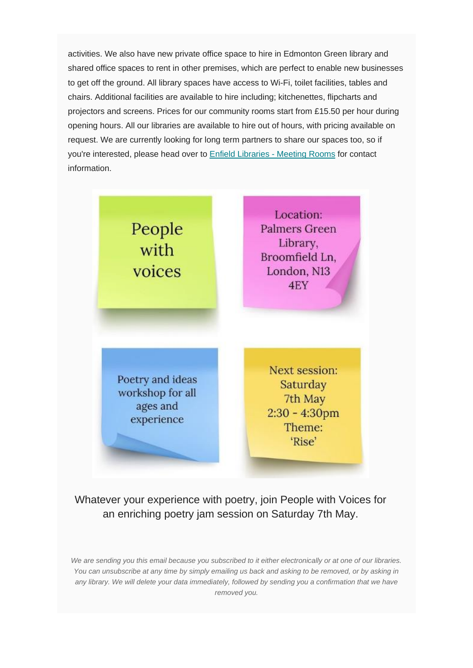activities. We also have new private office space to hire in Edmonton Green library and shared office spaces to rent in other premises, which are perfect to enable new businesses to get off the ground. All library spaces have access to Wi-Fi, toilet facilities, tables and chairs. Additional facilities are available to hire including; kitchenettes, flipcharts and projectors and screens. Prices for our community rooms start from £15.50 per hour during opening hours. All our libraries are available to hire out of hours, with pricing available on request. We are currently looking for long term partners to share our spaces too, so if you're interested, please head over to [Enfield Libraries -](http://www.enfield.gov.uk/services/libraries/library-meeting-rooms-for-hire) Meeting Rooms for contact information.



## Whatever your experience with poetry, join People with Voices for an enriching poetry jam session on Saturday 7th May.

*We are sending you this email because you subscribed to it either electronically or at one of our libraries. You can unsubscribe at any time by simply emailing us back and asking to be removed, or by asking in any library. We will delete your data immediately, followed by sending you a confirmation that we have removed you.*